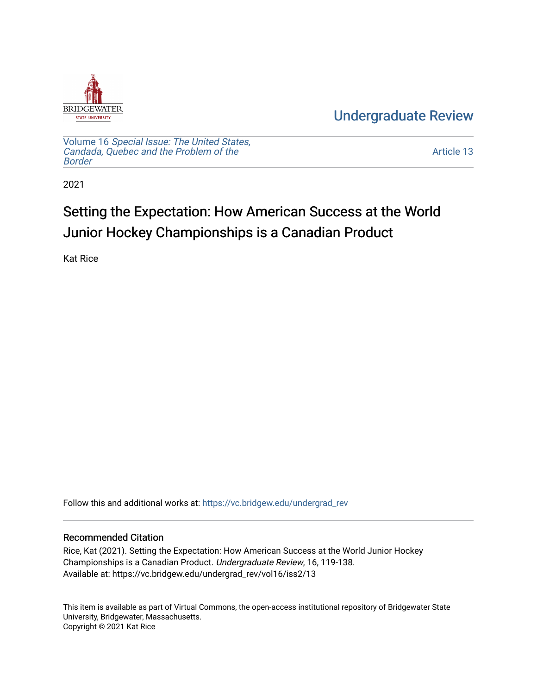

[Undergraduate Review](https://vc.bridgew.edu/undergrad_rev) 

Volume 16 [Special Issue: The United States,](https://vc.bridgew.edu/undergrad_rev/vol16)  [Candada, Quebec and the Problem of the](https://vc.bridgew.edu/undergrad_rev/vol16)  [Border](https://vc.bridgew.edu/undergrad_rev/vol16)

[Article 13](https://vc.bridgew.edu/undergrad_rev/vol16/iss2/13) 

2021

## Setting the Expectation: How American Success at the World Junior Hockey Championships is a Canadian Product

Kat Rice

Follow this and additional works at: [https://vc.bridgew.edu/undergrad\\_rev](https://vc.bridgew.edu/undergrad_rev?utm_source=vc.bridgew.edu%2Fundergrad_rev%2Fvol16%2Fiss2%2F13&utm_medium=PDF&utm_campaign=PDFCoverPages)

#### Recommended Citation

Rice, Kat (2021). Setting the Expectation: How American Success at the World Junior Hockey Championships is a Canadian Product. Undergraduate Review, 16, 119-138. Available at: https://vc.bridgew.edu/undergrad\_rev/vol16/iss2/13

This item is available as part of Virtual Commons, the open-access institutional repository of Bridgewater State University, Bridgewater, Massachusetts. Copyright © 2021 Kat Rice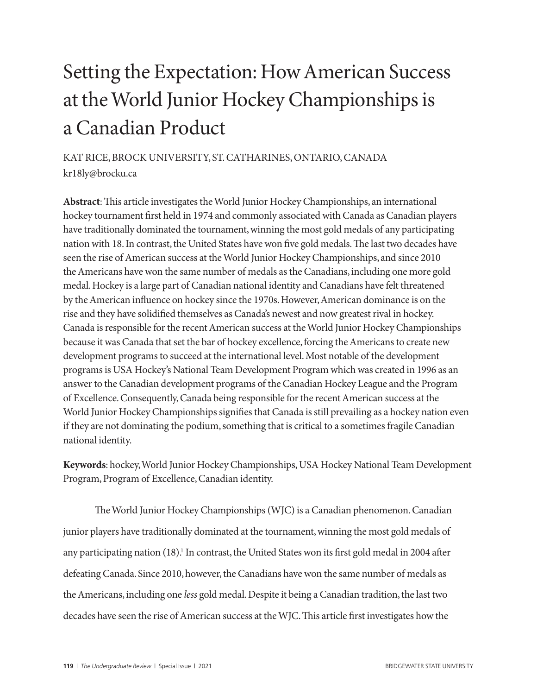# Setting the Expectation: How American Success at the World Junior Hockey Championships is a Canadian Product

### KAT RICE, BROCK UNIVERSITY, ST. CATHARINES, ONTARIO, CANADA kr18ly@brocku.ca

**Abstract**: This article investigates the World Junior Hockey Championships, an international hockey tournament first held in 1974 and commonly associated with Canada as Canadian players have traditionally dominated the tournament, winning the most gold medals of any participating nation with 18. In contrast, the United States have won five gold medals. The last two decades have seen the rise of American success at the World Junior Hockey Championships, and since 2010 the Americans have won the same number of medals as the Canadians, including one more gold medal. Hockey is a large part of Canadian national identity and Canadians have felt threatened by the American influence on hockey since the 1970s. However, American dominance is on the rise and they have solidified themselves as Canada's newest and now greatest rival in hockey. Canada is responsible for the recent American success at the World Junior Hockey Championships because it was Canada that set the bar of hockey excellence, forcing the Americans to create new development programs to succeed at the international level. Most notable of the development programs is USA Hockey's National Team Development Program which was created in 1996 as an answer to the Canadian development programs of the Canadian Hockey League and the Program of Excellence. Consequently, Canada being responsible for the recent American success at the World Junior Hockey Championships signifies that Canada is still prevailing as a hockey nation even if they are not dominating the podium, something that is critical to a sometimes fragile Canadian national identity.

**Keywords**: hockey, World Junior Hockey Championships, USA Hockey National Team Development Program, Program of Excellence, Canadian identity.

The World Junior Hockey Championships (WJC) is a Canadian phenomenon. Canadian junior players have traditionally dominated at the tournament, winning the most gold medals of any participating nation (18).<sup>1</sup> In contrast, the United States won its first gold medal in 2004 after defeating Canada. Since 2010, however, the Canadians have won the same number of medals as the Americans, including one *less* gold medal. Despite it being a Canadian tradition, the last two decades have seen the rise of American success at the WJC. This article first investigates how the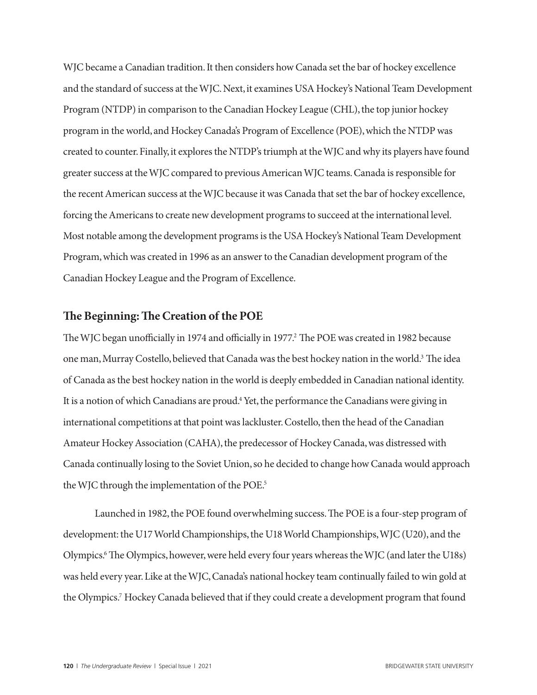WJC became a Canadian tradition. It then considers how Canada set the bar of hockey excellence and the standard of success at the WJC. Next, it examines USA Hockey's National Team Development Program (NTDP) in comparison to the Canadian Hockey League (CHL), the top junior hockey program in the world, and Hockey Canada's Program of Excellence (POE), which the NTDP was created to counter. Finally, it explores the NTDP's triumph at the WJC and why its players have found greater success at the WJC compared to previous American WJC teams. Canada is responsible for the recent American success at the WJC because it was Canada that set the bar of hockey excellence, forcing the Americans to create new development programs to succeed at the international level. Most notable among the development programs is the USA Hockey's National Team Development Program, which was created in 1996 as an answer to the Canadian development program of the Canadian Hockey League and the Program of Excellence.

#### **The Beginning: The Creation of the POE**

The WJC began unofficially in 1974 and officially in 1977.<sup>2</sup> The POE was created in 1982 because one man, Murray Costello, believed that Canada was the best hockey nation in the world.<sup>3</sup> The idea of Canada as the best hockey nation in the world is deeply embedded in Canadian national identity. It is a notion of which Canadians are proud.<sup>4</sup> Yet, the performance the Canadians were giving in international competitions at that point was lackluster. Costello, then the head of the Canadian Amateur Hockey Association (CAHA), the predecessor of Hockey Canada, was distressed with Canada continually losing to the Soviet Union, so he decided to change how Canada would approach the WJC through the implementation of the POE.<sup>5</sup>

Launched in 1982, the POE found overwhelming success. The POE is a four-step program of development: the U17 World Championships, the U18 World Championships, WJC (U20), and the Olympics.6 The Olympics, however, were held every four years whereas the WJC (and later the U18s) was held every year. Like at the WJC, Canada's national hockey team continually failed to win gold at the Olympics.<sup>7</sup> Hockey Canada believed that if they could create a development program that found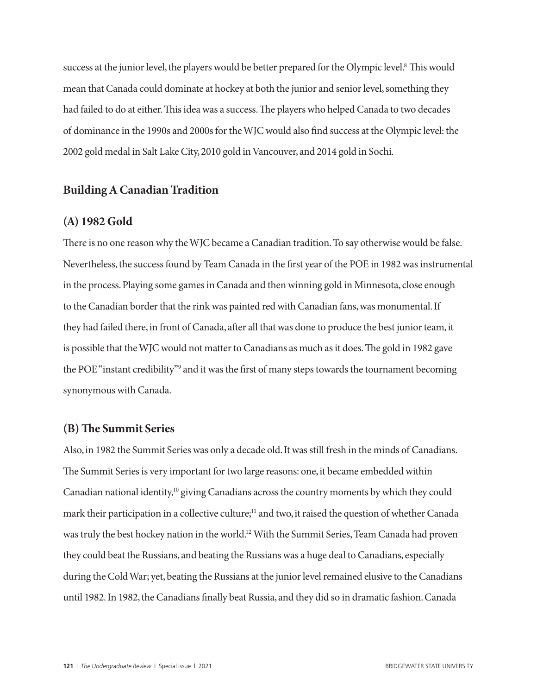success at the junior level, the players would be better prepared for the Olympic level.<sup>8</sup> This would mean that Canada could dominate at hockey at both the junior and senior level, something they had failed to do at either. This idea was a success. The players who helped Canada to two decades of dominance in the 1990s and 2000s for the WJC would also find success at the Olympic level: the 2002 gold medal in Salt Lake City, 2010 gold in Vancouver, and 2014 gold in Sochi.

#### **Building A Canadian Tradition**

#### **(A) 1982 Gold**

There is no one reason why the WJC became a Canadian tradition. To say otherwise would be false. Nevertheless, the success found by Team Canada in the first year of the POE in 1982 was instrumental in the process. Playing some games in Canada and then winning gold in Minnesota, close enough to the Canadian border that the rink was painted red with Canadian fans, was monumental. If they had failed there, in front of Canada, after all that was done to produce the best junior team, it is possible that the WJC would not matter to Canadians as much as it does. The gold in 1982 gave the POE "instant credibility"<sup>9</sup> and it was the first of many steps towards the tournament becoming synonymous with Canada.

#### **(B) The Summit Series**

Also, in 1982 the Summit Series was only a decade old. It was still fresh in the minds of Canadians. The Summit Series is very important for two large reasons: one, it became embedded within Canadian national identity,<sup>10</sup> giving Canadians across the country moments by which they could mark their participation in a collective culture;<sup>11</sup> and two, it raised the question of whether Canada was truly the best hockey nation in the world.12 With the Summit Series, Team Canada had proven they could beat the Russians, and beating the Russians was a huge deal to Canadians, especially during the Cold War; yet, beating the Russians at the junior level remained elusive to the Canadians until 1982. In 1982, the Canadians finally beat Russia, and they did so in dramatic fashion. Canada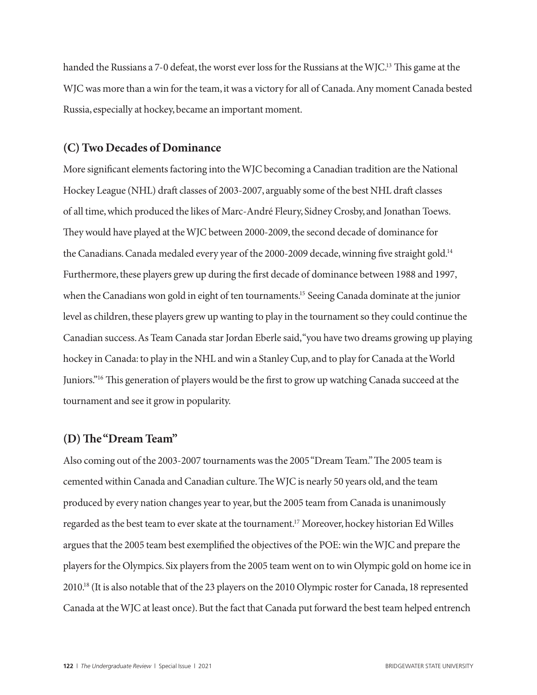handed the Russians a 7-0 defeat, the worst ever loss for the Russians at the WJC.<sup>13</sup> This game at the WJC was more than a win for the team, it was a victory for all of Canada. Any moment Canada bested Russia, especially at hockey, became an important moment.

#### **(C) Two Decades of Dominance**

More significant elements factoring into the WJC becoming a Canadian tradition are the National Hockey League (NHL) draft classes of 2003-2007, arguably some of the best NHL draft classes of all time, which produced the likes of Marc-André Fleury, Sidney Crosby, and Jonathan Toews. They would have played at the WJC between 2000-2009, the second decade of dominance for the Canadians. Canada medaled every year of the 2000-2009 decade, winning five straight gold.<sup>14</sup> Furthermore, these players grew up during the first decade of dominance between 1988 and 1997, when the Canadians won gold in eight of ten tournaments.<sup>15</sup> Seeing Canada dominate at the junior level as children, these players grew up wanting to play in the tournament so they could continue the Canadian success. As Team Canada star Jordan Eberle said, "you have two dreams growing up playing hockey in Canada: to play in the NHL and win a Stanley Cup, and to play for Canada at the World Juniors."16 This generation of players would be the first to grow up watching Canada succeed at the tournament and see it grow in popularity.

#### **(D) The "Dream Team"**

Also coming out of the 2003-2007 tournaments was the 2005 "Dream Team." The 2005 team is cemented within Canada and Canadian culture. The WJC is nearly 50 years old, and the team produced by every nation changes year to year, but the 2005 team from Canada is unanimously regarded as the best team to ever skate at the tournament.17 Moreover, hockey historian Ed Willes argues that the 2005 team best exemplified the objectives of the POE: win the WJC and prepare the players for the Olympics. Six players from the 2005 team went on to win Olympic gold on home ice in 2010.18 (It is also notable that of the 23 players on the 2010 Olympic roster for Canada, 18 represented Canada at the WJC at least once). But the fact that Canada put forward the best team helped entrench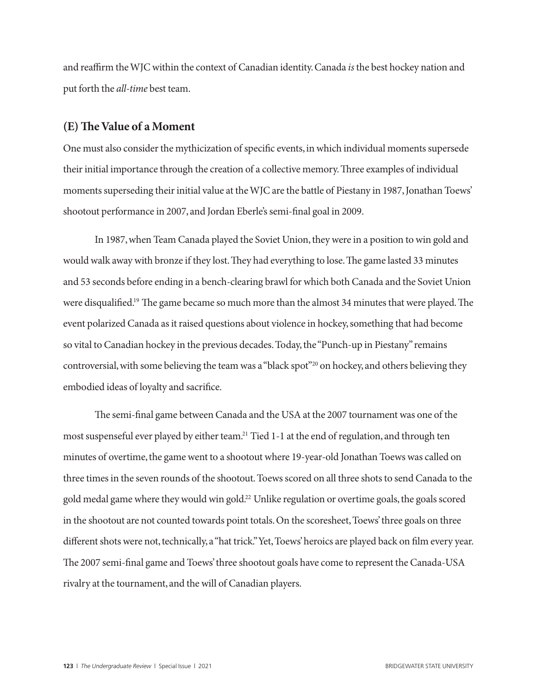and reaffirm the WJC within the context of Canadian identity. Canada *is* the best hockey nation and put forth the *all-time* best team.

#### **(E) The Value of a Moment**

One must also consider the mythicization of specific events, in which individual moments supersede their initial importance through the creation of a collective memory. Three examples of individual moments superseding their initial value at the WJC are the battle of Piestany in 1987, Jonathan Toews' shootout performance in 2007, and Jordan Eberle's semi-final goal in 2009.

In 1987, when Team Canada played the Soviet Union, they were in a position to win gold and would walk away with bronze if they lost. They had everything to lose. The game lasted 33 minutes and 53 seconds before ending in a bench-clearing brawl for which both Canada and the Soviet Union were disqualified.<sup>19</sup> The game became so much more than the almost 34 minutes that were played. The event polarized Canada as it raised questions about violence in hockey, something that had become so vital to Canadian hockey in the previous decades. Today, the "Punch-up in Piestany" remains controversial, with some believing the team was a "black spot"20 on hockey, and others believing they embodied ideas of loyalty and sacrifice.

The semi-final game between Canada and the USA at the 2007 tournament was one of the most suspenseful ever played by either team.<sup>21</sup> Tied 1-1 at the end of regulation, and through ten minutes of overtime, the game went to a shootout where 19-year-old Jonathan Toews was called on three times in the seven rounds of the shootout. Toews scored on all three shots to send Canada to the gold medal game where they would win gold.22 Unlike regulation or overtime goals, the goals scored in the shootout are not counted towards point totals. On the scoresheet, Toews' three goals on three different shots were not, technically, a "hat trick." Yet, Toews' heroics are played back on film every year. The 2007 semi-final game and Toews' three shootout goals have come to represent the Canada-USA rivalry at the tournament, and the will of Canadian players.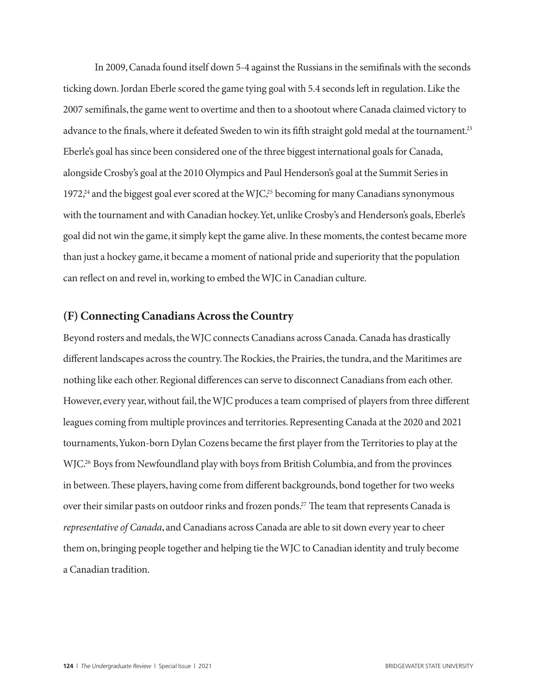In 2009, Canada found itself down 5-4 against the Russians in the semifinals with the seconds ticking down. Jordan Eberle scored the game tying goal with 5.4 seconds left in regulation. Like the 2007 semifinals, the game went to overtime and then to a shootout where Canada claimed victory to advance to the finals, where it defeated Sweden to win its fifth straight gold medal at the tournament.<sup>23</sup> Eberle's goal has since been considered one of the three biggest international goals for Canada, alongside Crosby's goal at the 2010 Olympics and Paul Henderson's goal at the Summit Series in 1972,<sup>24</sup> and the biggest goal ever scored at the WJC,<sup>25</sup> becoming for many Canadians synonymous with the tournament and with Canadian hockey. Yet, unlike Crosby's and Henderson's goals, Eberle's goal did not win the game, it simply kept the game alive. In these moments, the contest became more than just a hockey game, it became a moment of national pride and superiority that the population can reflect on and revel in, working to embed the WJC in Canadian culture.

#### **(F) Connecting Canadians Across the Country**

Beyond rosters and medals, the WJC connects Canadians across Canada. Canada has drastically different landscapes across the country. The Rockies, the Prairies, the tundra, and the Maritimes are nothing like each other. Regional differences can serve to disconnect Canadians from each other. However, every year, without fail, the WJC produces a team comprised of players from three different leagues coming from multiple provinces and territories. Representing Canada at the 2020 and 2021 tournaments, Yukon-born Dylan Cozens became the first player from the Territories to play at the WJC.<sup>26</sup> Boys from Newfoundland play with boys from British Columbia, and from the provinces in between. These players, having come from different backgrounds, bond together for two weeks over their similar pasts on outdoor rinks and frozen ponds.<sup>27</sup> The team that represents Canada is *representative of Canada*, and Canadians across Canada are able to sit down every year to cheer them on, bringing people together and helping tie the WJC to Canadian identity and truly become a Canadian tradition.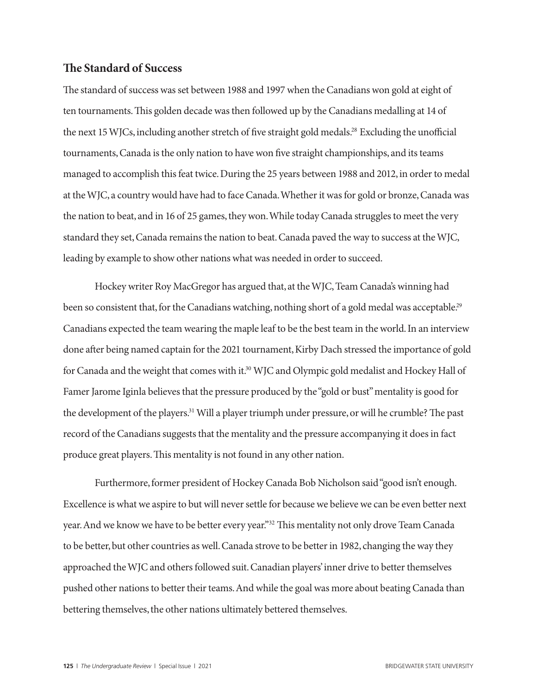#### **The Standard of Success**

The standard of success was set between 1988 and 1997 when the Canadians won gold at eight of ten tournaments. This golden decade was then followed up by the Canadians medalling at 14 of the next 15 WJCs, including another stretch of five straight gold medals.<sup>28</sup> Excluding the unofficial tournaments, Canada is the only nation to have won five straight championships, and its teams managed to accomplish this feat twice. During the 25 years between 1988 and 2012, in order to medal at the WJC, a country would have had to face Canada. Whether it was for gold or bronze, Canada was the nation to beat, and in 16 of 25 games, they won. While today Canada struggles to meet the very standard they set, Canada remains the nation to beat. Canada paved the way to success at the WJC, leading by example to show other nations what was needed in order to succeed.

Hockey writer Roy MacGregor has argued that, at the WJC, Team Canada's winning had been so consistent that, for the Canadians watching, nothing short of a gold medal was acceptable.<sup>29</sup> Canadians expected the team wearing the maple leaf to be the best team in the world. In an interview done after being named captain for the 2021 tournament, Kirby Dach stressed the importance of gold for Canada and the weight that comes with it.<sup>30</sup> WJC and Olympic gold medalist and Hockey Hall of Famer Jarome Iginla believes that the pressure produced by the "gold or bust" mentality is good for the development of the players.31 Will a player triumph under pressure, or will he crumble? The past record of the Canadians suggests that the mentality and the pressure accompanying it does in fact produce great players. This mentality is not found in any other nation.

Furthermore, former president of Hockey Canada Bob Nicholson said "good isn't enough. Excellence is what we aspire to but will never settle for because we believe we can be even better next year. And we know we have to be better every year."<sup>32</sup> This mentality not only drove Team Canada to be better, but other countries as well. Canada strove to be better in 1982, changing the way they approached the WJC and others followed suit. Canadian players' inner drive to better themselves pushed other nations to better their teams. And while the goal was more about beating Canada than bettering themselves, the other nations ultimately bettered themselves.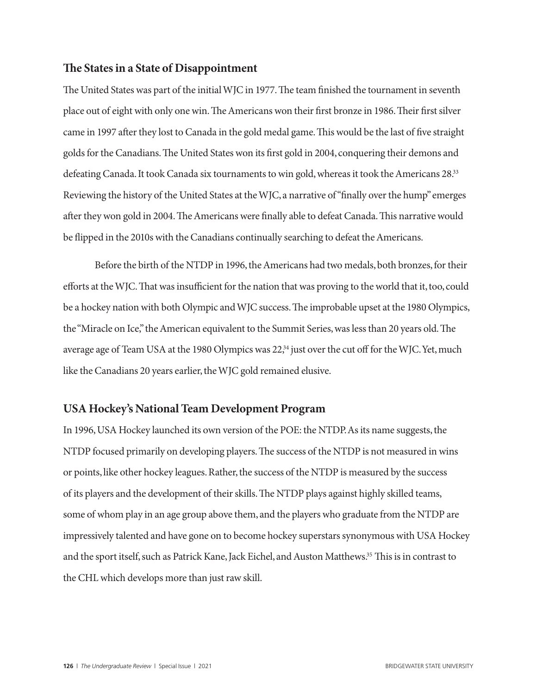#### **The States in a State of Disappointment**

The United States was part of the initial WJC in 1977. The team finished the tournament in seventh place out of eight with only one win. The Americans won their first bronze in 1986. Their first silver came in 1997 after they lost to Canada in the gold medal game. This would be the last of five straight golds for the Canadians. The United States won its first gold in 2004, conquering their demons and defeating Canada. It took Canada six tournaments to win gold, whereas it took the Americans 28.<sup>33</sup> Reviewing the history of the United States at the WJC, a narrative of "finally over the hump" emerges after they won gold in 2004. The Americans were finally able to defeat Canada. This narrative would be flipped in the 2010s with the Canadians continually searching to defeat the Americans.

Before the birth of the NTDP in 1996, the Americans had two medals, both bronzes, for their efforts at the WJC. That was insufficient for the nation that was proving to the world that it, too, could be a hockey nation with both Olympic and WJC success. The improbable upset at the 1980 Olympics, the "Miracle on Ice," the American equivalent to the Summit Series, was less than 20 years old. The average age of Team USA at the 1980 Olympics was 22,<sup>34</sup> just over the cut off for the WJC. Yet, much like the Canadians 20 years earlier, the WJC gold remained elusive.

#### **USA Hockey's National Team Development Program**

In 1996, USA Hockey launched its own version of the POE: the NTDP. As its name suggests, the NTDP focused primarily on developing players. The success of the NTDP is not measured in wins or points, like other hockey leagues. Rather, the success of the NTDP is measured by the success of its players and the development of their skills. The NTDP plays against highly skilled teams, some of whom play in an age group above them, and the players who graduate from the NTDP are impressively talented and have gone on to become hockey superstars synonymous with USA Hockey and the sport itself, such as Patrick Kane, Jack Eichel, and Auston Matthews.35 This is in contrast to the CHL which develops more than just raw skill.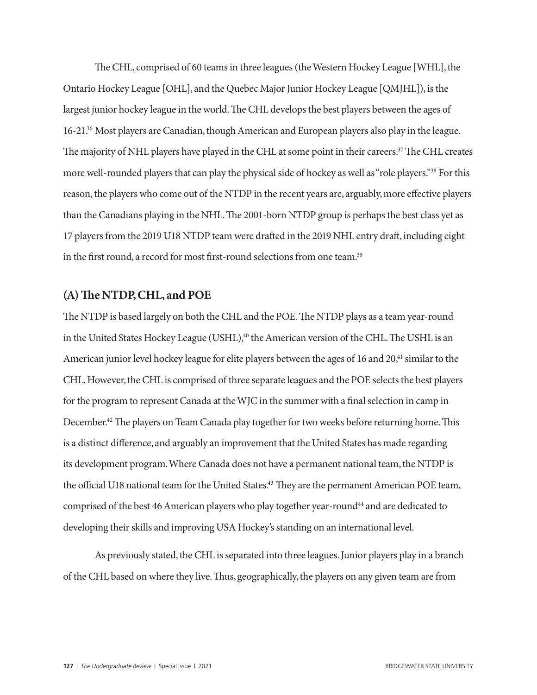The CHL, comprised of 60 teams in three leagues (the Western Hockey League [WHL], the Ontario Hockey League [OHL], and the Quebec Major Junior Hockey League [QMJHL]), is the largest junior hockey league in the world. The CHL develops the best players between the ages of 16-21.36 Most players are Canadian, though American and European players also play in the league. The majority of NHL players have played in the CHL at some point in their careers.<sup>37</sup> The CHL creates more well-rounded players that can play the physical side of hockey as well as "role players."38 For this reason, the players who come out of the NTDP in the recent years are, arguably, more effective players than the Canadians playing in the NHL. The 2001-born NTDP group is perhaps the best class yet as 17 players from the 2019 U18 NTDP team were drafted in the 2019 NHL entry draft, including eight in the first round, a record for most first-round selections from one team.<sup>39</sup>

#### **(A) The NTDP, CHL, and POE**

The NTDP is based largely on both the CHL and the POE. The NTDP plays as a team year-round in the United States Hockey League (USHL),<sup>40</sup> the American version of the CHL. The USHL is an American junior level hockey league for elite players between the ages of 16 and 20,<sup>41</sup> similar to the CHL. However, the CHL is comprised of three separate leagues and the POE selects the best players for the program to represent Canada at the WJC in the summer with a final selection in camp in December.<sup>42</sup> The players on Team Canada play together for two weeks before returning home. This is a distinct difference, and arguably an improvement that the United States has made regarding its development program. Where Canada does not have a permanent national team, the NTDP is the official U18 national team for the United States.<sup>43</sup> They are the permanent American POE team, comprised of the best 46 American players who play together year-round<sup>44</sup> and are dedicated to developing their skills and improving USA Hockey's standing on an international level.

As previously stated, the CHL is separated into three leagues. Junior players play in a branch of the CHL based on where they live. Thus, geographically, the players on any given team are from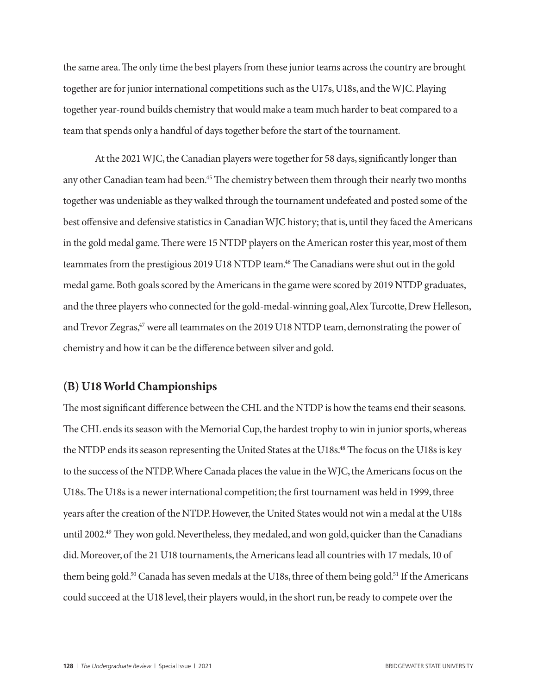the same area. The only time the best players from these junior teams across the country are brought together are for junior international competitions such as the U17s, U18s, and the WJC. Playing together year-round builds chemistry that would make a team much harder to beat compared to a team that spends only a handful of days together before the start of the tournament.

At the 2021 WJC, the Canadian players were together for 58 days, significantly longer than any other Canadian team had been.<sup>45</sup> The chemistry between them through their nearly two months together was undeniable as they walked through the tournament undefeated and posted some of the best offensive and defensive statistics in Canadian WJC history; that is, until they faced the Americans in the gold medal game. There were 15 NTDP players on the American roster this year, most of them teammates from the prestigious 2019 U18 NTDP team.<sup>46</sup> The Canadians were shut out in the gold medal game. Both goals scored by the Americans in the game were scored by 2019 NTDP graduates, and the three players who connected for the gold-medal-winning goal, Alex Turcotte, Drew Helleson, and Trevor Zegras,<sup>47</sup> were all teammates on the 2019 U18 NTDP team, demonstrating the power of chemistry and how it can be the difference between silver and gold.

#### **(B) U18 World Championships**

The most significant difference between the CHL and the NTDP is how the teams end their seasons. The CHL ends its season with the Memorial Cup, the hardest trophy to win in junior sports, whereas the NTDP ends its season representing the United States at the U18s.<sup>48</sup> The focus on the U18s is key to the success of the NTDP. Where Canada places the value in the WJC, the Americans focus on the U18s. The U18s is a newer international competition; the first tournament was held in 1999, three years after the creation of the NTDP. However, the United States would not win a medal at the U18s until 2002.49 They won gold. Nevertheless, they medaled, and won gold, quicker than the Canadians did. Moreover, of the 21 U18 tournaments, the Americans lead all countries with 17 medals, 10 of them being gold.<sup>50</sup> Canada has seven medals at the U18s, three of them being gold.<sup>51</sup> If the Americans could succeed at the U18 level, their players would, in the short run, be ready to compete over the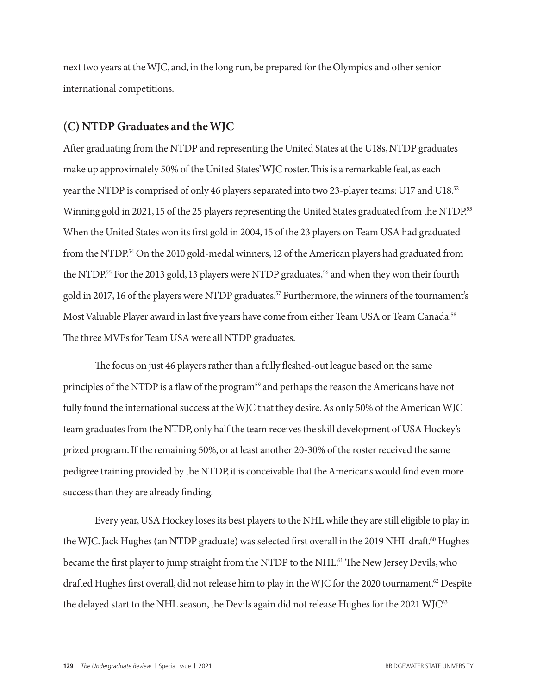next two years at the WJC, and, in the long run, be prepared for the Olympics and other senior international competitions.

#### **(C) NTDP Graduates and the WJC**

After graduating from the NTDP and representing the United States at the U18s, NTDP graduates make up approximately 50% of the United States' WJC roster. This is a remarkable feat, as each year the NTDP is comprised of only 46 players separated into two 23-player teams: U17 and U18.52 Winning gold in 2021, 15 of the 25 players representing the United States graduated from the NTDP.<sup>53</sup> When the United States won its first gold in 2004, 15 of the 23 players on Team USA had graduated from the NTDP.<sup>54</sup> On the 2010 gold-medal winners, 12 of the American players had graduated from the NTDP.<sup>55</sup> For the 2013 gold, 13 players were NTDP graduates,<sup>56</sup> and when they won their fourth gold in 2017, 16 of the players were NTDP graduates.<sup>57</sup> Furthermore, the winners of the tournament's Most Valuable Player award in last five years have come from either Team USA or Team Canada.<sup>58</sup> The three MVPs for Team USA were all NTDP graduates.

The focus on just 46 players rather than a fully fleshed-out league based on the same principles of the NTDP is a flaw of the program<sup>59</sup> and perhaps the reason the Americans have not fully found the international success at the WJC that they desire. As only 50% of the American WJC team graduates from the NTDP, only half the team receives the skill development of USA Hockey's prized program. If the remaining 50%, or at least another 20-30% of the roster received the same pedigree training provided by the NTDP, it is conceivable that the Americans would find even more success than they are already finding.

Every year, USA Hockey loses its best players to the NHL while they are still eligible to play in the WJC. Jack Hughes (an NTDP graduate) was selected first overall in the 2019 NHL draft.<sup>60</sup> Hughes became the first player to jump straight from the NTDP to the NHL.61 The New Jersey Devils, who drafted Hughes first overall, did not release him to play in the WJC for the 2020 tournament.<sup>62</sup> Despite the delayed start to the NHL season, the Devils again did not release Hughes for the 2021 WJC<sup>63</sup>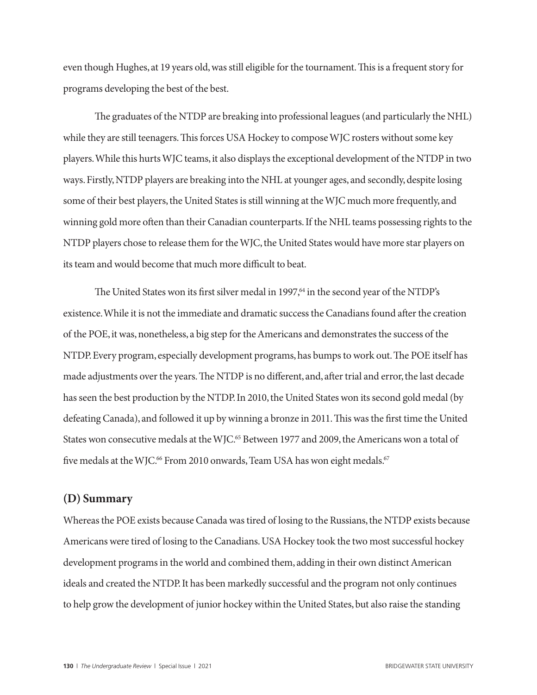even though Hughes, at 19 years old, was still eligible for the tournament. This is a frequent story for programs developing the best of the best.

The graduates of the NTDP are breaking into professional leagues (and particularly the NHL) while they are still teenagers. This forces USA Hockey to compose WJC rosters without some key players. While this hurts WJC teams, it also displays the exceptional development of the NTDP in two ways. Firstly, NTDP players are breaking into the NHL at younger ages, and secondly, despite losing some of their best players, the United States is still winning at the WJC much more frequently, and winning gold more often than their Canadian counterparts. If the NHL teams possessing rights to the NTDP players chose to release them for the WJC, the United States would have more star players on its team and would become that much more difficult to beat.

The United States won its first silver medal in 1997,<sup>64</sup> in the second year of the NTDP's existence. While it is not the immediate and dramatic success the Canadians found after the creation of the POE, it was, nonetheless, a big step for the Americans and demonstrates the success of the NTDP. Every program, especially development programs, has bumps to work out. The POE itself has made adjustments over the years. The NTDP is no different, and, after trial and error, the last decade has seen the best production by the NTDP. In 2010, the United States won its second gold medal (by defeating Canada), and followed it up by winning a bronze in 2011. This was the first time the United States won consecutive medals at the WJC.<sup>65</sup> Between 1977 and 2009, the Americans won a total of five medals at the WJC.<sup>66</sup> From 2010 onwards, Team USA has won eight medals.<sup>67</sup>

#### **(D) Summary**

Whereas the POE exists because Canada was tired of losing to the Russians, the NTDP exists because Americans were tired of losing to the Canadians. USA Hockey took the two most successful hockey development programs in the world and combined them, adding in their own distinct American ideals and created the NTDP. It has been markedly successful and the program not only continues to help grow the development of junior hockey within the United States, but also raise the standing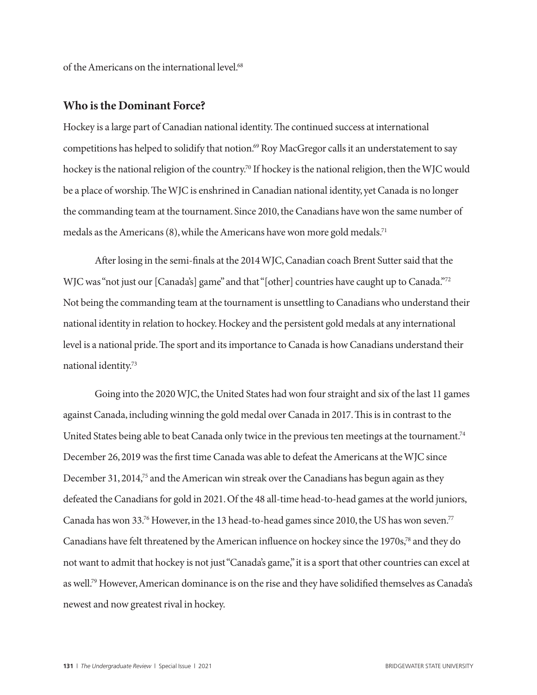of the Americans on the international level.<sup>68</sup>

#### **Who is the Dominant Force?**

Hockey is a large part of Canadian national identity. The continued success at international competitions has helped to solidify that notion.<sup>69</sup> Roy MacGregor calls it an understatement to say hockey is the national religion of the country.<sup>70</sup> If hockey is the national religion, then the WJC would be a place of worship. The WJC is enshrined in Canadian national identity, yet Canada is no longer the commanding team at the tournament. Since 2010, the Canadians have won the same number of medals as the Americans  $(8)$ , while the Americans have won more gold medals.<sup>71</sup>

After losing in the semi-finals at the 2014 WJC, Canadian coach Brent Sutter said that the WJC was "not just our [Canada's] game" and that "[other] countries have caught up to Canada."<sup>72</sup> Not being the commanding team at the tournament is unsettling to Canadians who understand their national identity in relation to hockey. Hockey and the persistent gold medals at any international level is a national pride. The sport and its importance to Canada is how Canadians understand their national identity.73

Going into the 2020 WJC, the United States had won four straight and six of the last 11 games against Canada, including winning the gold medal over Canada in 2017. This is in contrast to the United States being able to beat Canada only twice in the previous ten meetings at the tournament.<sup>74</sup> December 26, 2019 was the first time Canada was able to defeat the Americans at the WJC since December 31, 2014,<sup>75</sup> and the American win streak over the Canadians has begun again as they defeated the Canadians for gold in 2021. Of the 48 all-time head-to-head games at the world juniors, Canada has won 33.<sup>76</sup> However, in the 13 head-to-head games since 2010, the US has won seven.<sup>77</sup> Canadians have felt threatened by the American influence on hockey since the 1970s,78 and they do not want to admit that hockey is not just "Canada's game," it is a sport that other countries can excel at as well.79 However, American dominance is on the rise and they have solidified themselves as Canada's newest and now greatest rival in hockey.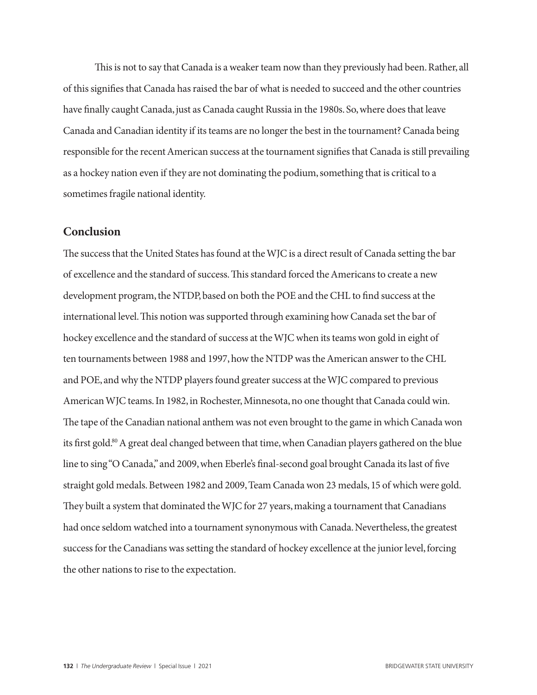This is not to say that Canada is a weaker team now than they previously had been. Rather, all of this signifies that Canada has raised the bar of what is needed to succeed and the other countries have finally caught Canada, just as Canada caught Russia in the 1980s. So, where does that leave Canada and Canadian identity if its teams are no longer the best in the tournament? Canada being responsible for the recent American success at the tournament signifies that Canada is still prevailing as a hockey nation even if they are not dominating the podium, something that is critical to a sometimes fragile national identity.

#### **Conclusion**

The success that the United States has found at the WJC is a direct result of Canada setting the bar of excellence and the standard of success. This standard forced the Americans to create a new development program, the NTDP, based on both the POE and the CHL to find success at the international level. This notion was supported through examining how Canada set the bar of hockey excellence and the standard of success at the WJC when its teams won gold in eight of ten tournaments between 1988 and 1997, how the NTDP was the American answer to the CHL and POE, and why the NTDP players found greater success at the WJC compared to previous American WJC teams. In 1982, in Rochester, Minnesota, no one thought that Canada could win. The tape of the Canadian national anthem was not even brought to the game in which Canada won its first gold.<sup>80</sup> A great deal changed between that time, when Canadian players gathered on the blue line to sing "O Canada," and 2009, when Eberle's final-second goal brought Canada its last of five straight gold medals. Between 1982 and 2009, Team Canada won 23 medals, 15 of which were gold. They built a system that dominated the WJC for 27 years, making a tournament that Canadians had once seldom watched into a tournament synonymous with Canada. Nevertheless, the greatest success for the Canadians was setting the standard of hockey excellence at the junior level, forcing the other nations to rise to the expectation.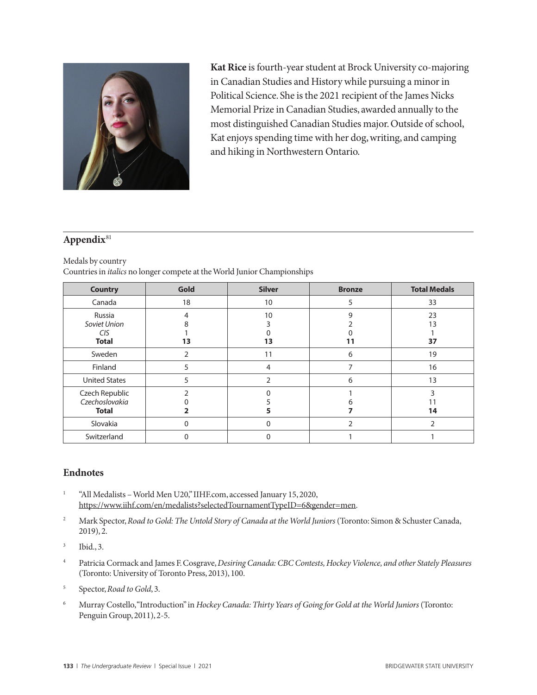

**Kat Rice** is fourth-year student at Brock University co-majoring in Canadian Studies and History while pursuing a minor in Political Science. She is the 2021 recipient of the James Nicks Memorial Prize in Canadian Studies, awarded annually to the most distinguished Canadian Studies major. Outside of school, Kat enjoys spending time with her dog, writing, and camping and hiking in Northwestern Ontario.

#### **Appendix**<sup>81</sup>

Medals by country

Countries in *italics* no longer compete at the World Junior Championships

| <b>Country</b>       | Gold     | <b>Silver</b> | <b>Bronze</b> | <b>Total Medals</b> |
|----------------------|----------|---------------|---------------|---------------------|
| Canada               | 18       | 10            | 5             | 33                  |
| Russia               | 4        | 10            | 9             | 23                  |
| Soviet Union         |          |               |               | 13                  |
| CIS                  |          |               |               |                     |
| <b>Total</b>         | 13       | 13            | 11            | 37                  |
| Sweden               | 2        | 11            | 6             | 19                  |
| Finland              | 5        | 4             |               | 16                  |
| <b>United States</b> | 5        | $\mathcal{P}$ | 6             | 13                  |
| Czech Republic       |          |               |               |                     |
| Czechoslovakia       |          |               |               |                     |
| <b>Total</b>         |          |               |               | 14                  |
| Slovakia             | $\Omega$ | 0             | 2             |                     |
| Switzerland          | 0        |               |               |                     |

#### **Endnotes**

- <sup>1</sup> "All Medalists World Men U20," IIHF.com, accessed January 15, 2020, https://www.iihf.com/en/medalists?selectedTournamentTypeID=6&gender=men.
- <sup>2</sup> Mark Spector, *Road to Gold: The Untold Story of Canada at the World Juniors* (Toronto: Simon & Schuster Canada, 2019), 2.
- <sup>3</sup> Ibid., 3.
- <sup>4</sup> Patricia Cormack and James F. Cosgrave, *Desiring Canada: CBC Contests, Hockey Violence, and other Stately Pleasures* (Toronto: University of Toronto Press, 2013), 100.
- <sup>5</sup> Spector, *Road to Gold*, 3.
- <sup>6</sup> Murray Costello, "Introduction" in *Hockey Canada: Thirty Years of Going for Gold at the World Juniors* (Toronto: Penguin Group, 2011), 2-5.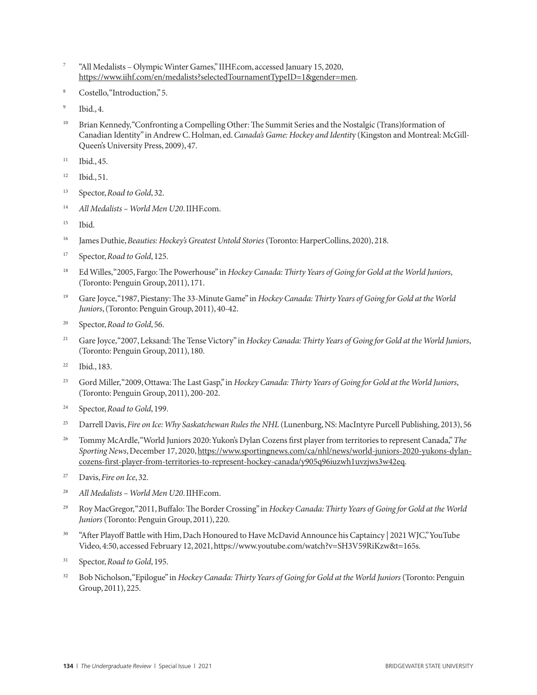- <sup>7</sup> "All Medalists Olympic Winter Games," IIHF.com, accessed January 15, 2020, https://www.iihf.com/en/medalists?selectedTournamentTypeID=1&gender=men.
- <sup>8</sup> Costello, "Introduction," 5.
- <sup>9</sup> Ibid., 4.
- <sup>10</sup> Brian Kennedy, "Confronting a Compelling Other: The Summit Series and the Nostalgic (Trans)formation of Canadian Identity" in Andrew C. Holman, ed. *Canada's Game: Hockey and Identit*y (Kingston and Montreal: McGill-Queen's University Press, 2009), 47.
- <sup>11</sup> Ibid., 45.
- <sup>12</sup> Ibid., 51.
- <sup>13</sup> Spector, *Road to Gold*, 32.
- <sup>14</sup> *All Medalists World Men U20*. IIHF.com.
- <sup>15</sup> Ibid.
- <sup>16</sup> James Duthie, *Beauties: Hockey's Greatest Untold Stories* (Toronto: HarperCollins, 2020), 218.
- <sup>17</sup> Spector, *Road to Gold*, 125.
- <sup>18</sup> Ed Willes, "2005, Fargo: The Powerhouse" in *Hockey Canada: Thirty Years of Going for Gold at the World Juniors*, (Toronto: Penguin Group, 2011), 171.
- <sup>19</sup> Gare Joyce, "1987, Piestany: The 33-Minute Game" in *Hockey Canada: Thirty Years of Going for Gold at the World Juniors*, (Toronto: Penguin Group, 2011), 40-42.
- <sup>20</sup> Spector, *Road to Gold*, 56.
- <sup>21</sup> Gare Joyce, "2007, Leksand: The Tense Victory" in *Hockey Canada: Thirty Years of Going for Gold at the World Juniors*, (Toronto: Penguin Group, 2011), 180.
- <sup>22</sup> Ibid., 183.
- <sup>23</sup> Gord Miller, "2009, Ottawa: The Last Gasp," in *Hockey Canada: Thirty Years of Going for Gold at the World Juniors*, (Toronto: Penguin Group, 2011), 200-202.
- <sup>24</sup> Spector, *Road to Gold*, 199.
- <sup>25</sup> Darrell Davis, *Fire on Ice: Why Saskatchewan Rules the NHL* (Lunenburg, NS: MacIntyre Purcell Publishing, 2013), 56
- <sup>26</sup> Tommy McArdle, "World Juniors 2020: Yukon's Dylan Cozens first player from territories to represent Canada," *The Sporting News*, December 17, 2020, https://www.sportingnews.com/ca/nhl/news/world-juniors-2020-yukons-dylancozens-first-player-from-territories-to-represent-hockey-canada/y905q96iuzwh1uvzjws3w42eq.
- <sup>27</sup> Davis, *Fire on Ice*, 32.
- <sup>28</sup> *All Medalists World Men U20*. IIHF.com.
- <sup>29</sup> Roy MacGregor, "2011, Buffalo: The Border Crossing" in *Hockey Canada: Thirty Years of Going for Gold at the World Juniors* (Toronto: Penguin Group, 2011), 220.
- <sup>30</sup> "After Playoff Battle with Him, Dach Honoured to Have McDavid Announce his Captaincy | 2021 WJC," YouTube Video, 4:50, accessed February 12, 2021, https://www.youtube.com/watch?v=SH3V59RiKzw&t=165s.
- <sup>31</sup> Spector, *Road to Gold*, 195.
- <sup>32</sup> Bob Nicholson, "Epilogue" in *Hockey Canada: Thirty Years of Going for Gold at the World Juniors* (Toronto: Penguin Group, 2011), 225.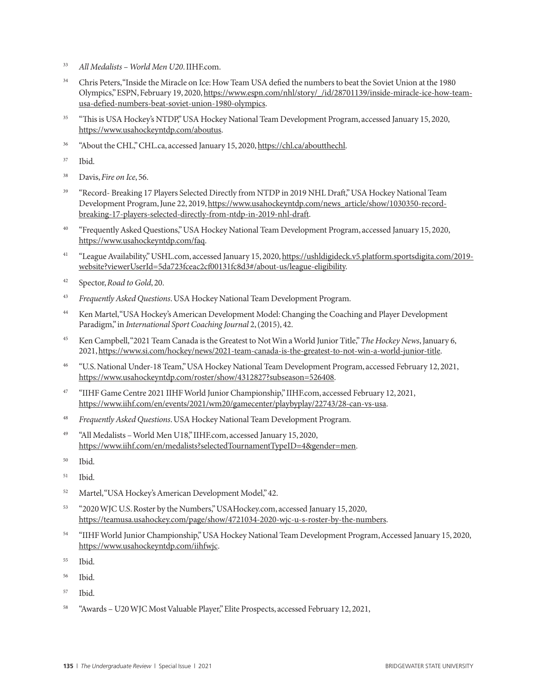- <sup>33</sup> *All Medalists World Men U20*. IIHF.com.
- <sup>34</sup> Chris Peters, "Inside the Miracle on Ice: How Team USA defied the numbers to beat the Soviet Union at the 1980 Olympics," ESPN, February 19, 2020, https://www.espn.com/nhl/story/\_/id/28701139/inside-miracle-ice-how-teamusa-defied-numbers-beat-soviet-union-1980-olympics.
- <sup>35</sup> "This is USA Hockey's NTDP," USA Hockey National Team Development Program, accessed January 15, 2020, https://www.usahockeyntdp.com/aboutus.
- <sup>36</sup> "About the CHL," CHL.ca, accessed January 15, 2020, https://chl.ca/aboutthechl.
- <sup>37</sup> Ibid.
- <sup>38</sup> Davis, *Fire on Ice*, 56.
- <sup>39</sup> "Record- Breaking 17 Players Selected Directly from NTDP in 2019 NHL Draft," USA Hockey National Team Development Program, June 22, 2019, https://www.usahockeyntdp.com/news\_article/show/1030350-recordbreaking-17-players-selected-directly-from-ntdp-in-2019-nhl-draft.
- <sup>40</sup> "Frequently Asked Questions," USA Hockey National Team Development Program, accessed January 15, 2020, https://www.usahockeyntdp.com/faq.
- <sup>41</sup> "League Availability," USHL.com, accessed January 15, 2020, https://ushldigideck.v5.platform.sportsdigita.com/2019website?viewerUserId=5da723fceac2cf00131fc8d3#/about-us/league-eligibility.
- <sup>42</sup> Spector, *Road to Gold*, 20.
- <sup>43</sup> *Frequently Asked Questions*. USA Hockey National Team Development Program.
- <sup>44</sup> Ken Martel, "USA Hockey's American Development Model: Changing the Coaching and Player Development Paradigm," in *International Sport Coaching Journal* 2, (2015), 42.
- <sup>45</sup> Ken Campbell, "2021 Team Canada is the Greatest to Not Win a World Junior Title," *The Hockey News*, January 6, 2021, https://www.si.com/hockey/news/2021-team-canada-is-the-greatest-to-not-win-a-world-junior-title.
- <sup>46</sup> "U.S. National Under-18 Team," USA Hockey National Team Development Program, accessed February 12, 2021, https://www.usahockeyntdp.com/roster/show/4312827?subseason=526408.
- <sup>47</sup> "IIHF Game Centre 2021 IIHF World Junior Championship," IIHF.com, accessed February 12, 2021, https://www.iihf.com/en/events/2021/wm20/gamecenter/playbyplay/22743/28-can-vs-usa.
- <sup>48</sup> *Frequently Asked Questions*. USA Hockey National Team Development Program.
- <sup>49</sup> "All Medalists World Men U18," IIHF.com, accessed January 15, 2020, https://www.iihf.com/en/medalists?selectedTournamentTypeID=4&gender=men.
- <sup>50</sup> Ibid.
- <sup>51</sup> Ibid.
- <sup>52</sup> Martel, "USA Hockey's American Development Model," 42.
- <sup>53</sup> "2020 WJC U.S. Roster by the Numbers," USAHockey.com, accessed January 15, 2020, https://teamusa.usahockey.com/page/show/4721034-2020-wjc-u-s-roster-by-the-numbers.
- <sup>54</sup> "IIHF World Junior Championship," USA Hockey National Team Development Program, Accessed January 15, 2020, https://www.usahockeyntdp.com/iihfwjc.
- <sup>55</sup> Ibid.
- <sup>56</sup> Ibid.
- <sup>57</sup> Ibid.
- <sup>58</sup> "Awards U20 WJC Most Valuable Player," Elite Prospects, accessed February 12, 2021,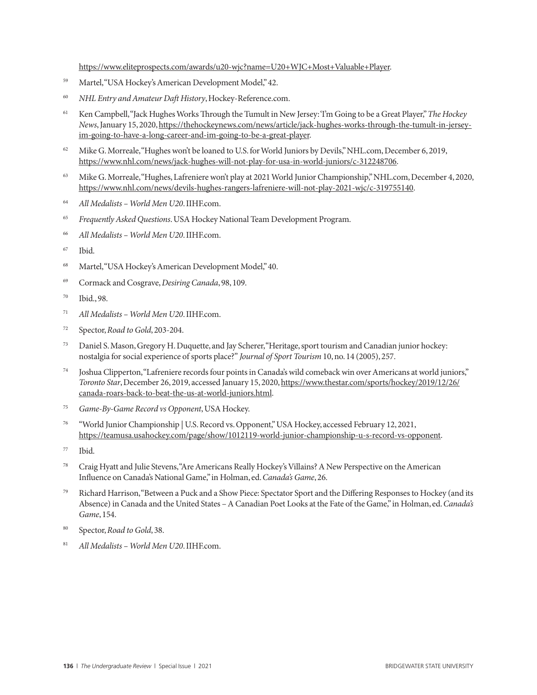https://www.eliteprospects.com/awards/u20-wjc?name=U20+WJC+Most+Valuable+Player.

- <sup>59</sup> Martel, "USA Hockey's American Development Model," 42.
- <sup>60</sup> *NHL Entry and Amateur Daft History*, Hockey-Reference.com.
- <sup>61</sup> Ken Campbell, "Jack Hughes Works Through the Tumult in New Jersey: 'I'm Going to be a Great Player," *The Hockey News*, January 15, 2020, https://thehockeynews.com/news/article/jack-hughes-works-through-the-tumult-in-jerseyim-going-to-have-a-long-career-and-im-going-to-be-a-great-player.
- <sup>62</sup> Mike G. Morreale, "Hughes won't be loaned to U.S. for World Juniors by Devils," NHL.com, December 6, 2019, https://www.nhl.com/news/jack-hughes-will-not-play-for-usa-in-world-juniors/c-312248706.
- <sup>63</sup> Mike G. Morreale, "Hughes, Lafreniere won't play at 2021 World Junior Championship," NHL.com, December 4, 2020, https://www.nhl.com/news/devils-hughes-rangers-lafreniere-will-not-play-2021-wjc/c-319755140.
- <sup>64</sup> *All Medalists World Men U20*. IIHF.com.
- <sup>65</sup> *Frequently Asked Questions*. USA Hockey National Team Development Program.
- <sup>66</sup> *All Medalists World Men U20*. IIHF.com.
- <sup>67</sup> Ibid.
- <sup>68</sup> Martel, "USA Hockey's American Development Model," 40.
- <sup>69</sup> Cormack and Cosgrave, *Desiring Canada*, 98, 109.
- <sup>70</sup> Ibid., 98.
- <sup>71</sup> *All Medalists World Men U20*. IIHF.com.
- <sup>72</sup> Spector, *Road to Gold*, 203-204.
- <sup>73</sup> Daniel S. Mason, Gregory H. Duquette, and Jay Scherer, "Heritage, sport tourism and Canadian junior hockey: nostalgia for social experience of sports place?" *Journal of Sport Tourism* 10, no. 14 (2005), 257.
- <sup>74</sup> Joshua Clipperton, "Lafreniere records four points in Canada's wild comeback win over Americans at world juniors," *Toronto Star*, December 26, 2019, accessed January 15, 2020, https://www.thestar.com/sports/hockey/2019/12/26/ canada-roars-back-to-beat-the-us-at-world-juniors.html.
- <sup>75</sup> *Game-By-Game Record vs Opponent*, USA Hockey.
- <sup>76</sup> "World Junior Championship | U.S. Record vs. Opponent," USA Hockey, accessed February 12, 2021, https://teamusa.usahockey.com/page/show/1012119-world-junior-championship-u-s-record-vs-opponent.
- <sup>77</sup> Ibid.
- <sup>78</sup> Craig Hyatt and Julie Stevens, "Are Americans Really Hockey's Villains? A New Perspective on the American Influence on Canada's National Game," in Holman, ed. *Canada's Game*, 26.
- <sup>79</sup> Richard Harrison, "Between a Puck and a Show Piece: Spectator Sport and the Differing Responses to Hockey (and its Absence) in Canada and the United States – A Canadian Poet Looks at the Fate of the Game," in Holman, ed. *Canada's Game*, 154.
- Spector, Road to Gold, 38.
- <sup>81</sup> *All Medalists World Men U20*. IIHF.com.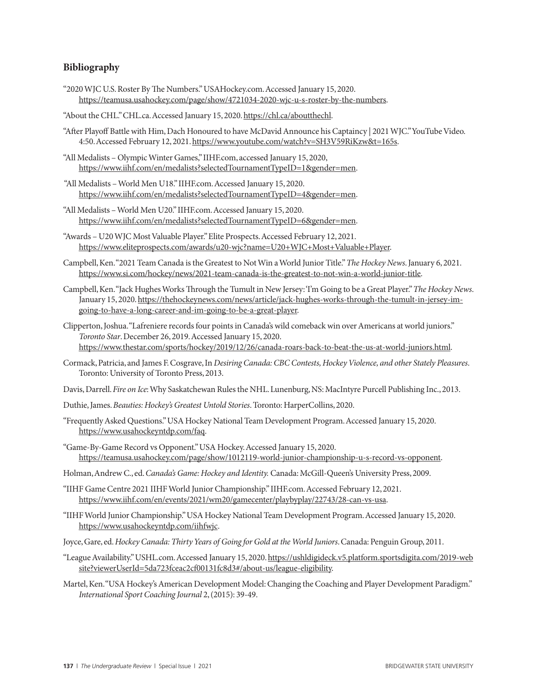#### **Bibliography**

- "2020 WJC U.S. Roster By The Numbers." USAHockey.com. Accessed January 15, 2020. https://teamusa.usahockey.com/page/show/4721034-2020-wjc-u-s-roster-by-the-numbers.
- "About the CHL." CHL.ca. Accessed January 15, 2020. https://chl.ca/aboutthechl.
- "After Playoff Battle with Him, Dach Honoured to have McDavid Announce his Captaincy | 2021 WJC." YouTube Video. 4:50. Accessed February 12, 2021. https://www.youtube.com/watch?v=SH3V59RiKzw&t=165s.
- "All Medalists Olympic Winter Games," IIHF.com, accessed January 15, 2020, https://www.iihf.com/en/medalists?selectedTournamentTypeID=1&gender=men.
- "All Medalists World Men U18." IIHF.com. Accessed January 15, 2020. https://www.iihf.com/en/medalists?selectedTournamentTypeID=4&gender=men.
- "All Medalists World Men U20." IIHF.com. Accessed January 15, 2020. https://www.iihf.com/en/medalists?selectedTournamentTypeID=6&gender=men.
- "Awards U20 WJC Most Valuable Player." Elite Prospects. Accessed February 12, 2021. https://www.eliteprospects.com/awards/u20-wjc?name=U20+WJC+Most+Valuable+Player.
- Campbell, Ken. "2021 Team Canada is the Greatest to Not Win a World Junior Title." *The Hockey News*. January 6, 2021. https://www.si.com/hockey/news/2021-team-canada-is-the-greatest-to-not-win-a-world-junior-title.
- Campbell, Ken. "Jack Hughes Works Through the Tumult in New Jersey: 'I'm Going to be a Great Player." *The Hockey News*. January 15, 2020. https://thehockeynews.com/news/article/jack-hughes-works-through-the-tumult-in-jersey-imgoing-to-have-a-long-career-and-im-going-to-be-a-great-player.
- Clipperton, Joshua. "Lafreniere records four points in Canada's wild comeback win over Americans at world juniors." *Toronto Star*. December 26, 2019. Accessed January 15, 2020. https://www.thestar.com/sports/hockey/2019/12/26/canada-roars-back-to-beat-the-us-at-world-juniors.html.
- Cormack, Patricia, and James F. Cosgrave, In *Desiring Canada: CBC Contests, Hockey Violence, and other Stately Pleasures*. Toronto: University of Toronto Press, 2013.
- Davis, Darrell. *Fire on Ice*: Why Saskatchewan Rules the NHL. Lunenburg, NS: MacIntyre Purcell Publishing Inc., 2013.
- Duthie, James. *Beauties: Hockey's Greatest Untold Stories*. Toronto: HarperCollins, 2020.
- "Frequently Asked Questions." USA Hockey National Team Development Program. Accessed January 15, 2020. https://www.usahockeyntdp.com/faq.
- "Game-By-Game Record vs Opponent." USA Hockey. Accessed January 15, 2020. https://teamusa.usahockey.com/page/show/1012119-world-junior-championship-u-s-record-vs-opponent.
- Holman, Andrew C., ed. *Canada's Game: Hockey and Identity.* Canada: McGill-Queen's University Press, 2009.
- "IIHF Game Centre 2021 IIHF World Junior Championship." IIHF.com. Accessed February 12, 2021. https://www.iihf.com/en/events/2021/wm20/gamecenter/playbyplay/22743/28-can-vs-usa.
- "IIHF World Junior Championship." USA Hockey National Team Development Program. Accessed January 15, 2020. https://www.usahockeyntdp.com/iihfwjc.
- Joyce, Gare, ed. *Hockey Canada: Thirty Years of Going for Gold at the World Juniors*. Canada: Penguin Group, 2011.
- "League Availability." USHL.com. Accessed January 15, 2020. https://ushldigideck.v5.platform.sportsdigita.com/2019-web site?viewerUserId=5da723fceac2cf00131fc8d3#/about-us/league-eligibility.
- Martel, Ken. "USA Hockey's American Development Model: Changing the Coaching and Player Development Paradigm." *International Sport Coaching Journal* 2, (2015): 39-49.